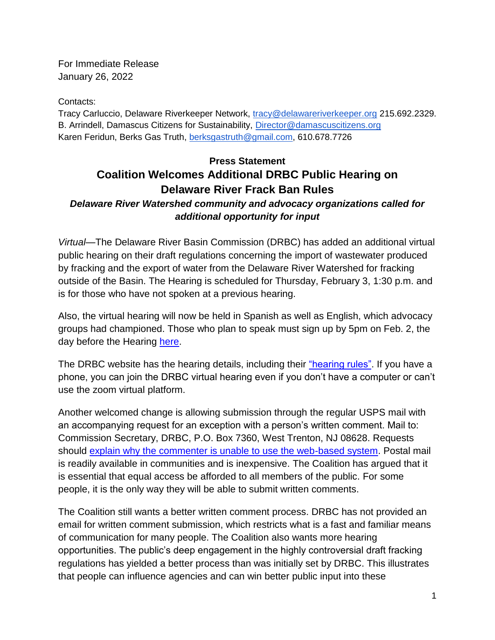For Immediate Release January 26, 2022

Contacts:

Tracy Carluccio, Delaware Riverkeeper Network, [tracy@delawareriverkeeper.org](mailto:tracy@delawareriverkeeper.org) 215.692.2329. B. Arrindell, Damascus Citizens for Sustainability, [Director@damascuscitizens.org](mailto:Director@damascuscitizens.org) Karen Feridun, Berks Gas Truth, [berksgastruth@gmail.com,](mailto:berksgastruth@gmail.com) 610.678.7726

## **Press Statement Coalition Welcomes Additional DRBC Public Hearing on Delaware River Frack Ban Rules**

## *Delaware River Watershed community and advocacy organizations called for additional opportunity for input*

*Virtual*—The Delaware River Basin Commission (DRBC) has added an additional virtual public hearing on their draft regulations concerning the import of wastewater produced by fracking and the export of water from the Delaware River Watershed for fracking outside of the Basin. The Hearing is scheduled for Thursday, February 3, 1:30 p.m. and is for those who have not spoken at a previous hearing.

Also, the virtual hearing will now be held in Spanish as well as English, which advocacy groups had championed. Those who plan to speak must sign up by 5pm on Feb. 2, the day before the Hearing [here.](https://www.eventbrite.com/e/public-hearing-5-on-drbc-proposed-rules-on-water-importationexportation-registration-245763113087)

The DRBC website has the hearing details, including their ["hearing rules".](https://www.state.nj.us/drbc/meetings/proposed/notice_import-export-rules.html#6) If you have a phone, you can join the DRBC virtual hearing even if you don't have a computer or can't use the zoom virtual platform.

Another welcomed change is allowing submission through the regular USPS mail with an accompanying request for an exception with a person's written comment. Mail to: Commission Secretary, DRBC, P.O. Box 7360, West Trenton, NJ 08628. Requests should [explain why the commenter is unable to use the web-based system.](https://www.state.nj.us/drbc/meetings/proposed/notice_import-export-rules.html#7) Postal mail is readily available in communities and is inexpensive. The Coalition has argued that it is essential that equal access be afforded to all members of the public. For some people, it is the only way they will be able to submit written comments.

The Coalition still wants a better written comment process. DRBC has not provided an email for written comment submission, which restricts what is a fast and familiar means of communication for many people. The Coalition also wants more hearing opportunities. The public's deep engagement in the highly controversial draft fracking regulations has yielded a better process than was initially set by DRBC. This illustrates that people can influence agencies and can win better public input into these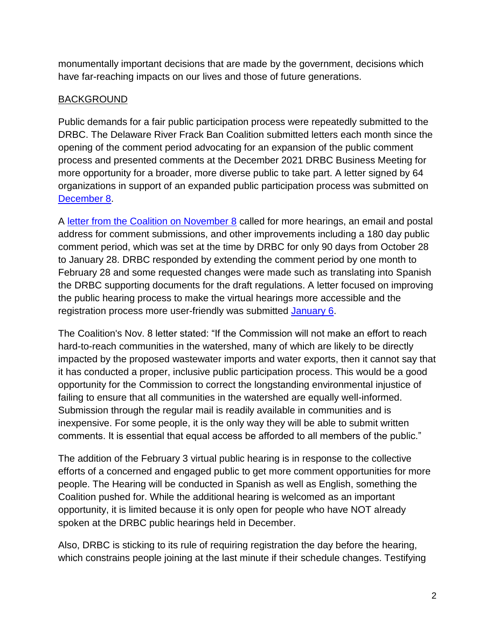monumentally important decisions that are made by the government, decisions which have far-reaching impacts on our lives and those of future generations.

## BACKGROUND

Public demands for a fair public participation process were repeatedly submitted to the DRBC. The Delaware River Frack Ban Coalition submitted letters each month since the opening of the comment period advocating for an expansion of the public comment process and presented comments at the December 2021 DRBC Business Meeting for more opportunity for a broader, more diverse public to take part. A letter signed by 64 organizations in support of an expanded public participation process was submitted on [December 8.](https://www.delawareriverkeeper.org/sites/default/files/Coalition%20letter%20to%20DRBC%20to%20expand%20public%20input%20DRBC%20fracking%20%282021-11-08%29.pdf)

A [letter from the Coalition on November 8](https://www.delawareriverkeeper.org/sites/default/files/Coalition%20letter%20to%20DRBC%20to%20expand%20public%20input%20DRBC%20fracking%20%282021-11-08%29.pdf) called for more hearings, an email and postal address for comment submissions, and other improvements including a 180 day public comment period, which was set at the time by DRBC for only 90 days from October 28 to January 28. DRBC responded by extending the comment period by one month to February 28 and some requested changes were made such as translating into Spanish the DRBC supporting documents for the draft regulations. A letter focused on improving the public hearing process to make the virtual hearings more accessible and the registration process more user-friendly was submitted [January 6.](https://www.delawareriverkeeper.org/sites/default/files/Coalition%20ltr%20to%20DRBC%20re%20improvng%20Virtual%20Hearings%20%282022-01-06%29.pdf)

The Coalition's Nov. 8 letter stated: "If the Commission will not make an effort to reach hard-to-reach communities in the watershed, many of which are likely to be directly impacted by the proposed wastewater imports and water exports, then it cannot say that it has conducted a proper, inclusive public participation process. This would be a good opportunity for the Commission to correct the longstanding environmental injustice of failing to ensure that all communities in the watershed are equally well-informed. Submission through the regular mail is readily available in communities and is inexpensive. For some people, it is the only way they will be able to submit written comments. It is essential that equal access be afforded to all members of the public."

The addition of the February 3 virtual public hearing is in response to the collective efforts of a concerned and engaged public to get more comment opportunities for more people. The Hearing will be conducted in Spanish as well as English, something the Coalition pushed for. While the additional hearing is welcomed as an important opportunity, it is limited because it is only open for people who have NOT already spoken at the DRBC public hearings held in December.

Also, DRBC is sticking to its rule of requiring registration the day before the hearing, which constrains people joining at the last minute if their schedule changes. Testifying